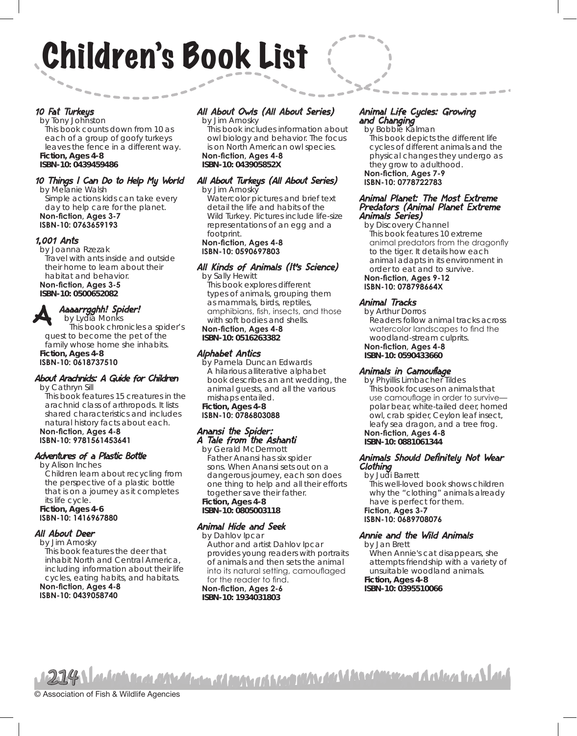# Children's Book List

10 Fat Turkeys

by Tony Johnston This book counts down from 10 as each of a group of goofy turkeys leaves the fence in a different way. **Fiction, Ages 4-8**

#### **ISBN-10: 0439459486**

#### 10 Things I Can Do to Help My World

by Melanie Walsh Simple actions kids can take every day to help care for the planet. **Non-fiction, Ages 3-7 ISBN-10: 0763659193**

#### 1,001 Ants

by Joanna Rzezak Travel with ants inside and outside their home to learn about their habitat and behavior. **Non-fiction, Ages 3-5**

**ISBN-10: 0500652082**

## Aaaarrgghh! Spider!

by Lydia Monks This book chronicles a spider's quest to become the pet of the family whose home she inhabits. A

#### **Fiction, Ages 4-8 ISBN-10: 0618737510**

## About Arachnids: A Guide for Children

by Cathryn Sill

This book features 15 creatures in the arachnid class of arthropods. It lists shared characteristics and includes natural history facts about each.

#### **Non-fiction, Ages 4-8 ISBN-10: 9781561453641**

#### Adventures of a Plastic Bottle

by Alison Inches

Children learn about recycling from the perspective of a plastic bottle that is on a journey as it completes its life cycle.

**Fiction, Ages 4-6 ISBN-10: 1416967880**

## All About Deer

by Jim Arnosky This book features the deer that inhabit North and Central America, including information about their life cycles, eating habits, and habitats. **Non-fiction, Ages 4-8**

## **ISBN-10: 0439058740**

## All About Owls (All About Series)

by Jim Arnosky

This book includes information about owl biology and behavior. The focus is on North American owl species.

#### **Non-fiction, Ages 4-8 ISBN-10: 043905852X**

## All About Turkeys (All About Series)

by Jim Arnosky

Watercolor pictures and brief text detail the life and habits of the Wild Turkey. Pictures include life-size representations of an egg and a footprint.

#### **Non-fiction, Ages 4-8 ISBN-10: 0590697803**

## All Kinds of Animals (It's Science)

by Sally Hewitt This book explores different types of animals, grouping them as mammals, birds, reptiles, amphibians, fish, insects, and those with soft bodies and shells. **Non-fiction, Ages 4-8**

**ISBN-10: 0516263382**

#### Alphabet Antics

by Pamela Duncan Edwards A hilarious alliterative alphabet book describes an ant wedding, the animal guests, and all the various mishaps entailed.

#### **Fiction, Ages 4-8 ISBN-10: 0786803088**

## Anansi the Spider: A Tale from the Ashanti

by Gerald McDermott Father Anansi has six spider sons. When Anansi sets out on a dangerous journey, each son does one thing to help and all their efforts together save their father. **Fiction, Ages 4-8 ISBN-10: 0805003118**

#### Animal Hide and Seek

by Dahlov Ipcar Author and artist Dahlov Ipcar provides young readers with portraits of animals and then sets the animal into its natural setting, camouflaged for the reader to find.

**Non-fiction, Ages 2-6 ISBN-10: 1934031803**

## Animal Life Cycles: Growing and Changing

by Bobbie Kalman This book depicts the different life cycles of different animals and the physical changes they undergo as they grow to adulthood.

#### **Non-fiction, Ages 7-9 ISBN-10: 0778722783**

#### Animal Planet: The Most Extreme Predators (Animal Planet Extreme Animals Series)

by Discovery Channel This book features 10 extreme animal predators from the dragonfly to the tiger. It details how each animal adapts in its environment in order to eat and to survive.

#### **Non-fiction, Ages 9-12 ISBN-10: 078798664X**

#### Animal Tracks

by Arthur Dorros Readers follow animal tracks across watercolor landscapes to find the woodland-stream culprits.

**Non-fiction, Ages 4-8 ISBN-10: 0590433660**

#### Animals in Camouflage

by Phyillis Limbacher Tildes This book focuses on animals that use camouflage in order to survive polar bear, white-tailed deer, horned owl, crab spider, Ceylon leaf insect, leafy sea dragon, and a tree frog.

**Non-fiction, Ages 4-8 ISBN-10: 0881061344** 

#### Animals Should Definitely Not Wear Clothing

by Judi Barrett This well-loved book shows children why the "clothing" animals already have is perfect for them.

**Fiction, Ages 3-7 ISBN-10: 0689708076**

## Annie and the Wild Animals

by Jan Brett

When Annie's cat disappears, she attempts friendship with a variety of unsuitable woodland animals. **Fiction, Ages 4-8**

**ISBN-10: 0395510066**

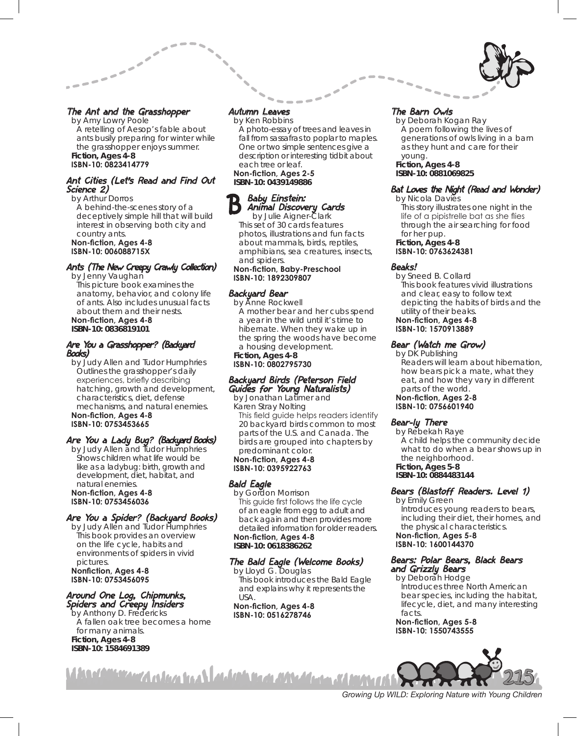

#### The Ant and the Grasshopper

by Amy Lowry Poole A retelling of Aesop's fable about ants busily preparing for winter while the grasshopper enjoys summer. **Fiction, Ages 4-8**

#### **ISBN-10: 0823414779**

........

#### Ant Cities (Let's Read and Find Out Science 2)

by Arthur Dorros A behind-the-scenes story of a deceptively simple hill that will build interest in observing both city and country ants.

**Non-fiction, Ages 4-8 ISBN-10: 006088715X**

#### Ants (The New Creepy Crawly Collection)

by Jenny Vaughan This picture book examines the anatomy, behavior, and colony life of ants. Also includes unusual facts about them and their nests.

**Non-fiction, Ages 4-8 ISBN-10: 0836819101**

#### Are You a Grasshopper? (Backyard Books)

by Judy Allen and Tudor Humphries Outlines the grasshopper's daily experiences, briefly describing hatching, growth and development, characteristics, diet, defense mechanisms, and natural enemies. **Non-fiction, Ages 4-8 ISBN-10: 0753453665**

#### Are You a Lady Bug? (Backyard Books)

by Judy Allen and Tudor Humphries Shows children what life would be like as a ladybug: birth, growth and development, diet, habitat, and natural enemies.

#### **Non-fiction, Ages 4-8 ISBN-10: 0753456036**

#### Are You a Spider? (Backyard Books)

by Judy Allen and Tudor Humphries This book provides an overview on the life cycle, habits and environments of spiders in vivid pictures. **Nonfiction, Ages 4-8 ISBN-10: 0753456095**

#### Around One Log, Chipmunks, Spiders and Creepy Insiders

by Anthony D. Fredericks A fallen oak tree becomes a home for many animals. **Fiction, Ages 4-8 ISBN-10: 1584691389**

#### Autumn Leaves

by Ken Robbins

A photo-essay of trees and leaves in fall from sassafras to poplar to maples. One or two simple sentences give a description or interesting tidbit about each tree or leaf.

#### **Non-fiction, Ages 2-5 ISBN-10: 0439149886**



by Julie Aigner-Clark This set of 30 cards features photos, illustrations and fun facts about mammals, birds, reptiles, amphibians, sea creatures, insects, and spiders.

#### **Non-fiction, Baby-Preschool ISBN-10: 1892309807**

#### Backyard Bear

by Anne Rockwell

A mother bear and her cubs spend a year in the wild until it's time to hibernate. When they wake up in the spring the woods have become

a housing development. **Fiction, Ages 4-8**

**ISBN-10: 0802795730**

#### Backyard Birds (Peterson Field Guides for Young Naturalists)

by Jonathan Latimer and Karen Stray Nolting This field guide helps readers identify 20 backyard birds common to most parts of the U.S. and Canada. The birds are grouped into chapters by predominant color. **Non-fiction, Ages 4-8 ISBN-10: 0395922763**

#### Bald Eagle

by Gordon Morrison This guide first follows the life cycle of an eagle from egg to adult and back again and then provides more detailed information for older readers.

**Non-fiction, Ages 4-8 ISBN-10: 0618386262**

#### The Bald Eagle (Welcome Books)

by Lloyd G. Douglas This book introduces the Bald Eagle and explains why it represents the USA.

**Non-fiction, Ages 4-8 ISBN-10: 0516278746**

## The Barn Owls

by Deborah Kogan Ray A poem following the lives of generations of owls living in a barn as they hunt and care for their young. **Fiction, Ages 4-8 ISBN-10: 0881069825**

## Bat Loves the Night (Read and Wonder)

by Nicola Davies This story illustrates one night in the life of a pipistrelle bat as she flies through the air searching for food for her pup.

**Fiction, Ages 4-8 ISBN-10: 0763624381**

#### Beaks!

by Sneed B. Collard This book features vivid illustrations and clear, easy to follow text depicting the habits of birds and the utility of their beaks.

**Non-fiction, Ages 4-8 ISBN-10: 1570913889**

## Bear (Watch me Grow)

by DK Publishing Readers will learn about hibernation, how bears pick a mate, what they eat, and how they vary in different parts of the world. **Non-fiction, Ages 2-8 ISBN-10: 0756601940**

## Bear-ly There

by Rebekah Raye A child helps the community decide what to do when a bear shows up in the neighborhood.

**Fiction, Ages 5-8 ISBN-10: 0884483144**

## Bears (Blastoff Readers. Level 1)

by Emily Green Introduces young readers to bears, including their diet, their homes, and the physical characteristics.

**Non-fiction, Ages 5-8 ISBN-10: 1600144370**

#### Bears: Polar Bears, Black Bears and Grizzly Bears

by Deborah Hodge Introduces three North American bear species, including the habitat, lifecycle, diet, and many interesting facts.

**Non-fiction, Ages 5-8 ISBN-10: 1550743555**

<u>rta alara ta al-dahin man attachan artama</u> 215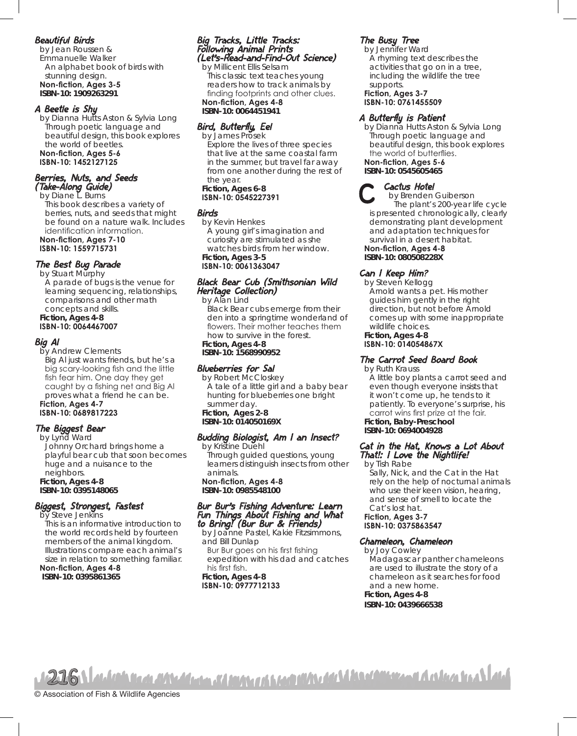## Beautiful Birds

by Jean Roussen & Emmanuelle Walker An alphabet book of birds with stunning design. **Non-fiction, Ages 3-5 ISBN-10: 1909263291**

#### A Beetle is Shy

by Dianna Hutts Aston & Sylvia Long Through poetic language and beautiful design, this book explores the world of beetles. **Non-fiction, Ages 5-6 ISBN-10: 1452127125**

## Berries, Nuts, and Seeds (Take-Along Guide)

by Diane L. Burns This book describes a variety of berries, nuts, and seeds that might be found on a nature walk. Includes identification information. **Non-fiction, Ages 7-10**

**ISBN-10: 1559715731**

#### The Best Bug Parade

by Stuart Murphy

A parade of bugs is the venue for learning sequencing, relationships, comparisons and other math concepts and skills.

#### **Fiction, Ages 4-8 ISBN-10: 0064467007**

#### Big Al

by Andrew Clements Big Al just wants friends, but he's a big scary-looking fish and the little fish fear him. One day they get caught by a fishing net and Big Al proves what a friend he can be.

#### **Fiction, Ages 4-7 ISBN-10: 0689817223**

## The Biggest Bear

by Lynd Ward Johnny Orchard brings home a playful bear cub that soon becomes huge and a nuisance to the neighbors. **Fiction, Ages 4-8**

## **ISBN-10: 0395148065** Biggest, Strongest, Fastest

by Steve Jenkins

This is an informative introduction to the world records held by fourteen members of the animal kingdom. Illustrations compare each animal's size in relation to something familiar. **Non-fiction, Ages 4-8** 

 **ISBN-10: 0395861365**

## Big Tracks, Little Tracks:<br>Following Animal Prints<br>(Let's-Read-and-Find-Out Science)

by Millicent Ellis Selsam This classic text teaches young readers how to track animals by finding footprints and other clues. **Non-fiction, Ages 4-8 ISBN-10: 0064451941**

## Bird, Butterfly, Eel

by James Prosek Explore the lives of three species that live at the same coastal farm in the summer, but travel far away from one another during the rest of the year. **Fiction, Ages 6-8 ISBN-10: 0545227391**

#### Birds

by Kevin Henkes A young girl's imagination and curiosity are stimulated as she watches birds from her window. **Fiction, Ages 3-5 ISBN-10: 0061363047**

#### Black Bear Cub (Smithsonian Wild Heritage Collection)

by Alan Lind

Black Bear cubs emerge from their den into a springtime wonderland of flowers. Their mother teaches them how to survive in the forest. **Fiction, Ages 4-8 ISBN-10: 1568990952**

#### Blueberries for Sal

by Robert McCloskey A tale of a little girl and a baby bear hunting for blueberries one bright summer day. **Fiction, Ages 2-8 ISBN-10: 014050169X**

## Budding Biologist, Am I an Insect?

by Kristine Duehl Through guided questions, young learners distinguish insects from other animals. **Non-fiction, Ages 4-8 ISBN-10: 0985548100**

#### Bur Bur's Fishing Adventure: Learn Fun Things About Fishing and What to Bring! (Bur Bur & Friends)

by Joanne Pastel, Kakie Fitzsimmons, and Bill Dunlap

Bur Bur goes on his first fishing expedition with his dad and catches his first fish. **Fiction, Ages 4-8**

**ISBN-10: 0977712133**

## The Busy Tree

by Jennifer Ward A rhyming text describes the activities that go on in a tree, including the wildlife the tree supports. **Fiction, Ages 3-7**

**ISBN-10: 0761455509**

#### A Butterfly is Patient

by Dianna Hutts Aston & Sylvia Long Through poetic language and beautiful design, this book explores the world of butterflies. **Non-fiction, Ages 5-6 ISBN-10: 0545605465**

Cactus Hotel

by Brenden Guiberson The plant's 200-year life cycle is presented chronologically, clearly demonstrating plant development and adaptation techniques for survival in a desert habitat. C

**Non-fiction, Ages 4-8 ISBN-10: 080508228X**

## Can I Keep Him?

by Steven Kellogg Arnold wants a pet. His mother guides him gently in the right direction, but not before Arnold comes up with some inappropriate wildlife choices.

**Fiction, Ages 4-8 ISBN-10: 014054867X** 

## The Carrot Seed Board Book

by Ruth Krauss A little boy plants a carrot seed and even though everyone insists that it won't come up, he tends to it patiently. To everyone's surprise, his carrot wins first prize at the fair.

**Fiction, Baby-Preschool ISBN-10: 0694004928**

#### Cat in the Hat, Knows a Lot About That!: I Love the Nightlife!

by Tish Rabe Sally, Nick, and the Cat in the Hat rely on the help of nocturnal animals who use their keen vision, hearing, and sense of smell to locate the Cat's lost hat.

**Fiction, Ages 3-7 ISBN-10: 0375863547**

#### Chameleon, Chameleon

by Joy Cowley Madagascar panther chameleons are used to illustrate the story of a chameleon as it searches for food and a new home.

**Fiction, Ages 4-8 ISBN-10: 0439666538**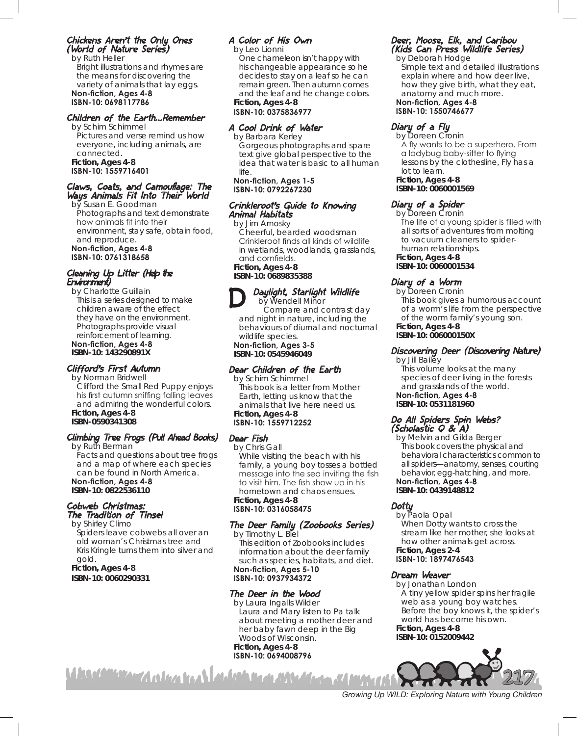#### Chickens Aren't the Only Ones (World of Nature Series)

by Ruth Heller Bright illustrations and rhymes are the means for discovering the variety of animals that lay eggs. **Non-fiction, Ages 4-8 ISBN-10: 0698117786**

#### Children of the Earth…Remember

by Schim Schimmel Pictures and verse remind us how everyone, including animals, are connected. **Fiction, Ages 4-8 ISBN-10: 1559716401**

#### Claws, Coats, and Camouflage: The Ways Animals Fit Into Their World

by Susan E. Goodman Photographs and text demonstrate how animals fit into their environment, stay safe, obtain food, and reproduce. **Non-fiction, Ages 4-8** 

**ISBN-10: 0761318658**

#### Cleaning Up Litter (Help the Environment)

by Charlotte Guillain This is a series designed to make children aware of the effect they have on the environment. Photographs provide visual reinforcement of learning. **Non-fiction, Ages 4-8 ISBN-10: 143290891X**

## Clifford's First Autumn

by Norman Bridwell Clifford the Small Red Puppy enjoys his first autumn sniffing falling leaves and admiring the wonderful colors. **Fiction, Ages 4-8 ISBN-0590341308**

## Climbing Tree Frogs (Pull Ahead Books)

by Ruth Berman Facts and questions about tree frogs and a map of where each species can be found in North America. **Non-fiction, Ages 4-8 ISBN-10: 0822536110**

## Cobweb Christmas:

The Tradition of Tinsel by Shirley Climo Spiders leave cobwebs all over an old woman's Christmas tree and Kris Kringle turns them into silver and gold. **Fiction, Ages 4-8** 

**ISBN-10: 0060290331**

## A Color of His Own

by Leo Lionni

One chameleon isn't happy with his changeable appearance so he decides to stay on a leaf so he can remain green. Then autumn comes and the leaf and he change colors. **Fiction, Ages 4-8** 

#### **ISBN-10: 0375836977**

## A Cool Drink of Water

by Barbara Kerley Gorgeous photographs and spare text give global perspective to the idea that water is basic to all human life.

**Non-fiction, Ages 1-5 ISBN-10: 0792267230** 

#### Crinkleroot's Guide to Knowing Animal Habitats

by Jim Arnosky Cheerful, bearded woodsman Crinkleroot finds all kinds of wildlife in wetlands, woodlands, grasslands, and cornfields. **Fiction, Ages 4-8**

## **ISBN-10: 0689835388**



## Daylight, Starlight Wildlife

by Wendell Minor Compare and contrast day and night in nature, including the behaviours of diurnal and nocturnal wildlife species.

**Non-fiction, Ages 3-5 ISBN-10: 0545946049**

## Dear Children of the Earth

by Schim Schimmel This book is a letter from Mother Earth, letting us know that the animals that live here need us. **Fiction, Ages 4-8**

**ISBN-10: 1559712252**

#### Dear Fish

by Chris Gall While visiting the beach with his family, a young boy tosses a bottled message into the sea inviting the fish to visit him. The fish show up in his hometown and chaos ensues.

#### **Fiction, Ages 4-8 ISBN-10: 0316058475**

## The Deer Family (Zoobooks Series)

by Timothy L. Biel This edition of Zoobooks includes information about the deer family such as species, habitats, and diet.

#### **Non-fiction, Ages 5-10 ISBN-10: 0937934372**

## The Deer in the Wood

by Laura Ingalls Wilder Laura and Mary listen to Pa talk about meeting a mother deer and her baby fawn deep in the Big Woods of Wisconsin. **Fiction, Ages 4-8**

**ISBN-10: 0694008796**

<u>Machairmeachadha ta a lachair nach Mhallain a' Leopa</u>

## Deer, Moose, Elk, and Caribou<br>(Kids Can Press Wildlife Series)

by Deborah Hodge Simple text and detailed illustrations explain where and how deer live, how they give birth, what they eat, anatomy and much more.

**Non-fiction, Ages 4-8 ISBN-10: 1550746677** 

## Diary of a Fly

by Doreen Cronin A fly wants to be a superhero. From a ladybug baby-sitter to flying lessons by the clothesline, Fly has a lot to learn. **Fiction, Ages 4-8 ISBN-10: 0060001569**

## Diary of a Spider

by Doreen Cronin The life of a young spider is filled with all sorts of adventures from molting to vacuum cleaners to spiderhuman relationships. **Fiction, Ages 4-8 ISBN-10: 0060001534**

#### Diary of a Worm

by Doreen Cronin This book gives a humorous account of a worm's life from the perspective of the worm family's young son. **Fiction, Ages 4-8** 

#### **ISBN-10: 006000150X**

## Discovering Deer (Discovering Nature)

by Jill Bailey This volume looks at the many species of deer living in the forests and grasslands of the world. **Non-fiction, Ages 4-8 ISBN-10: 0531181960** 

#### Do All Spiders Spin Webs? (Scholastic Q & A)

by Melvin and Gilda Berger This book covers the physical and behavioral characteristics common to all spiders—anatomy, senses, courting behavior, egg-hatching, and more. **Non-fiction, Ages 4-8** 

**ISBN-10: 0439148812**

## Dotty

by Paola Opal When Dotty wants to cross the stream like her mother, she looks at how other animals get across. **Fiction, Ages 2-4**

## **ISBN-10: 1897476543**

#### Dream Weaver

by Jonathan London A tiny yellow spider spins her fragile web as a young boy watches. Before the boy knows it, the spider's world has become his own. **Fiction, Ages 4-8** 

**ISBN-10: 0152009442**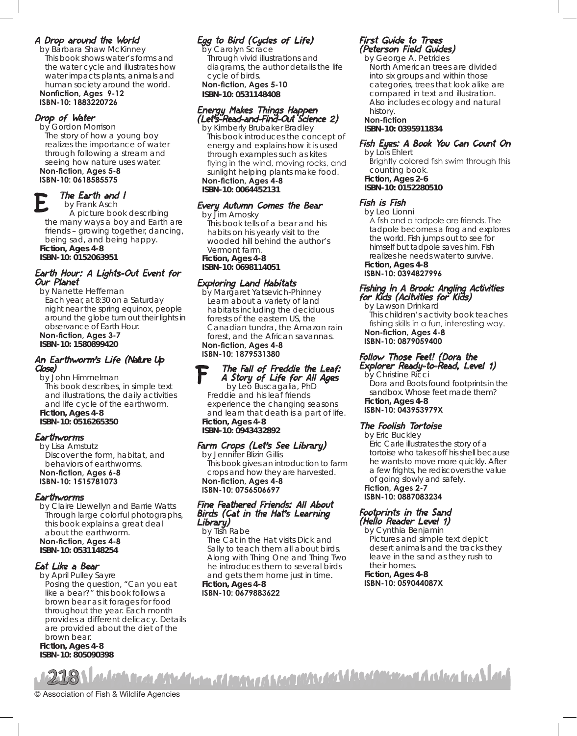#### A Drop around the World

by Barbara Shaw McKinney This book shows water's forms and the water cycle and illustrates how water impacts plants, animals and human society around the world. **Nonfiction, Ages 9-12 ISBN-10: 1883220726**

#### Drop of Water

by Gordon Morrison The story of how a young boy realizes the importance of water through following a stream and seeing how nature uses water. **Non-fiction, Ages 5-8**

**ISBN-10: 0618585575**

#### The Earth and I by Frank Asch

A picture book describing the many ways a boy and Earth are friends – growing together, dancing, being sad, and being happy. **Fiction, Ages 4-8 ISBN-10: 0152063951** E

#### Earth Hour: A Lights-Out Event for Our Planet

by Nanette Heffernan Each year, at 8:30 on a Saturday night near the spring equinox, people around the globe turn out their lights in observance of Earth Hour.

**Non-fiction, Ages 3-7 ISBN-10: 1580899420**

#### An Earthworm's Life (Nature Up Close)

by John Himmelman This book describes, in simple text and illustrations, the daily activities and life cycle of the earthworm. **Fiction, Ages 4-8**

**ISBN-10: 0516265350**

#### Earthworms

by Lisa Amstutz Discover the form, habitat, and behaviors of earthworms. **Non-fiction, Ages 6-8 ISBN-10: 1515781073**

#### Earthworms

by Claire Llewellyn and Barrie Watts Through large colorful photographs, this book explains a great deal about the earthworm. **Non-fiction, Ages 4-8 ISBN-10: 0531148254** 

#### Eat Like a Bear

by April Pulley Sayre Posing the question, "Can you eat like a bear?" this book follows a brown bear as it forages for food throughout the year. Each month provides a different delicacy. Details are provided about the diet of the brown bear.

**Fiction, Ages 4-8 ISBN-10: 805090398**

218

## Egg to Bird (Cycles of Life)

by Carolyn Scrace Through vivid illustrations and diagrams, the author details the life cycle of birds. **Non-fiction, Ages 5-10** 

**ISBN-10: 0531148408**

#### Energy Makes Things Happen (Let's-Read-and-Find-Out Science 2)

by Kimberly Brubaker Bradley This book introduces the concept of energy and explains how it is used through examples such as kites flying in the wind, moving rocks, and sunlight helping plants make food. **Non-fiction, Ages 4-8 ISBN-10: 0064452131**

## Every Autumn Comes the Bear

by Jim Arnosky This book tells of a bear and his habits on his yearly visit to the wooded hill behind the author's Vermont farm. **Fiction, Ages 4-8 ISBN-10: 0698114051**

#### Exploring Land Habitats

by Margaret Yatsevich-Phinney Learn about a variety of land habitats including the deciduous forests of the eastern US, the Canadian tundra, the Amazon rain forest, and the African savannas. **Non-fiction, Ages 4-8** 

## **ISBN-10: 1879531380**

The Fall of Freddie the Leaf: A Story of Life for All Ages by Leo Buscagalia, PhD Freddie and his leaf friends experience the changing seasons and learn that death is a part of life. **Fiction, Ages 4-8 ISBN-10: 0943432892** F

## Farm Crops (Let's See Library)

by Jennifer Blizin Gillis This book gives an introduction to farm crops and how they are harvested. **Non-fiction, Ages 4-8 ISBN-10: 0756506697**

#### Fine Feathered Friends: All About Birds (Cat in the Hat's Learning Library)

by Tish Rabe

The Cat in the Hat visits Dick and Sally to teach them all about birds. Along with Thing One and Thing Two he introduces them to several birds and gets them home just in time. **Fiction, Ages 4-8**

**ISBN-10: 0679883622**

## First Guide to Trees (Peterson Field Guides)

by George A. Petrides North American trees are divided into six groups and within those categories, trees that look alike are compared in text and illustration. Also includes ecology and natural history. **Non-fiction**

**ISBN-10: 0395911834**

## Fish Eyes: A Book You Can Count On

by Lois Ehlert Brightly colored fish swim through this counting book. **Fiction, Ages 2-6 ISBN-10: 0152280510** 

#### Fish is Fish

by Leo Lionni A fish and a tadpole are friends. The tadpole becomes a frog and explores the world. Fish jumps out to see for himself but tadpole saves him. Fish realizes he needs water to survive. **Fiction, Ages 4-8**

#### **ISBN-10: 0394827996**

#### Fishing In A Brook: Angling Activities for Kids (Acitvities for Kids)

by Lawson Drinkard This children's activity book teaches fishing skills in a fun, interesting way.

**Non-fiction, Ages 4-8 ISBN-10: 0879059400**

#### Follow Those Feet! (Dora the Explorer Ready-to-Read, Level 1)

by Christine Ricci Dora and Boots found footprints in the sandbox. Whose feet made them?

**Fiction, Ages 4-8 ISBN-10: 043953979X**

#### The Foolish Tortoise

by Eric Buckley

Eric Carle illustrates the story of a tortoise who takes off his shell because he wants to move more quickly. After a few frights, he rediscovers the value of going slowly and safely. **Fiction, Ages 2-7** 

**ISBN-10: 0887083234**

#### Footprints in the Sand (Hello Reader Level 1)

by Cynthia Benjamin Pictures and simple text depict desert animals and the tracks they leave in the sand as they rush to their homes. **Fiction, Ages 4-8 ISBN-10: 059044087X**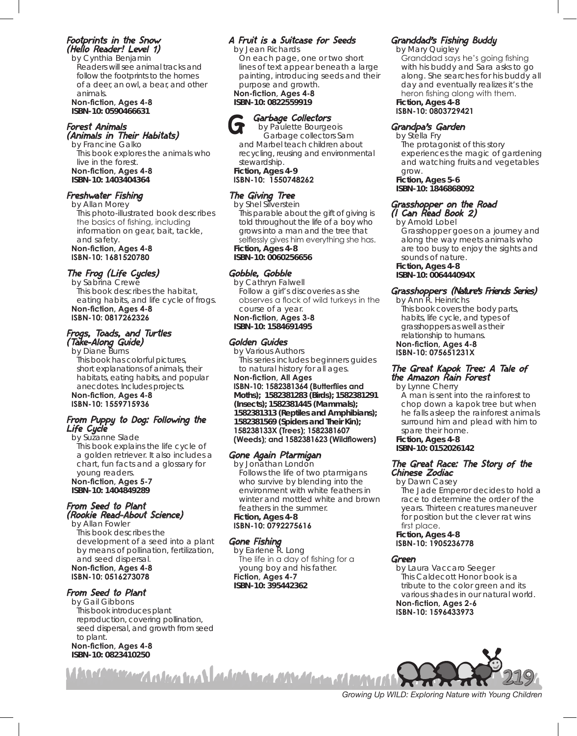## Footprints in the Snow (Hello Reader! Level 1)

by Cynthia Benjamin Readers will see animal tracks and follow the footprints to the homes of a deer, an owl, a bear, and other animals. **Non-fiction, Ages 4-8**

**ISBN-10: 0590466631**

## Forest Animals

(Animals in Their Habitats)

by Francine Galko This book explores the animals who live in the forest. **Non-fiction, Ages 4-8 ISBN-10: 1403404364** 

#### Freshwater Fishing

by Allan Morey This photo-illustrated book describes the basics of fishing, including information on gear, bait, tackle, and safety. **Non-fiction, Ages 4-8 ISBN-10: 1681520780**

## The Frog (Life Cycles)

by Sabrina Crewe This book describes the habitat, eating habits, and life cycle of frogs. **Non-fiction, Ages 4-8 ISBN-10: 0817262326** 

#### Frogs, Toads, and Turtles (Take-Along Guide)

by Diane Burns This book has colorful pictures, short explanations of animals, their habitats, eating habits, and popular anecdotes. Includes projects. **Non-fiction, Ages 4-8 ISBN-10: 1559715936**

#### From Puppy to Dog: Following the Life Cycle

by Suzanne Slade This book explains the life cycle of a golden retriever. It also includes a chart, fun facts and a glossary for young readers. **Non-fiction, Ages 5-7** 

**ISBN-10: 1404849289**

#### From Seed to Plant (Rookie Read-About Science)

by Allan Fowler This book describes the development of a seed into a plant by means of pollination, fertilization, and seed dispersal. **Non-fiction, Ages 4-8**

**ISBN-10: 0516273078** 

## From Seed to Plant

by Gail Gibbons This book introduces plant reproduction, covering pollination, seed dispersal, and growth from seed to plant. **Non-fiction, Ages 4-8 ISBN-10: 0823410250**

## A Fruit is a Suitcase for Seeds

by Jean Richards On each page, one or two short lines of text appear beneath a large painting, introducing seeds and their purpose and growth. **Non-fiction, Ages 4-8 ISBN-10: 0822559919**

## Garbage Collectors G

by Paulette Bourgeois Garbage collectors Sam and Marbel teach children about recycling, reusing and environmental stewardship.

**Fiction, Ages 4-9 ISBN-10: 1550748262**

## The Giving Tree

by Shel Silverstein This parable about the gift of giving is told throughout the life of a boy who grows into a man and the tree that selflessly gives him everything she has. **Fiction, Ages 4-8** 

**ISBN-10: 0060256656**

#### Gobble, Gobble

by Cathryn Falwell Follow a girl's discoveries as she observes a flock of wild turkeys in the course of a year.

#### **Non-fiction, Ages 3-8 ISBN-10: 1584691495**

#### Golden Guides

by Various Authors This series includes beginners guides to natural history for all ages. **Non-fiction, All Ages**

**ISBN-10: 1582381364 (Butterflies and Moths); 1582381283 (Birds); 1582381291 (Insects); 1582381445 (Mammals); 1582381313 (Reptiles and Amphibians); 1582381569 (Spiders and Their Kin); 158238133X (Trees); 1582381607 (Weeds); and 1582381623 (Wildflowers)**

#### Gone Again Ptarmigan

by Jonathan London Follows the life of two ptarmigans who survive by blending into the environment with white feathers in winter and mottled white and brown feathers in the summer.

#### **Fiction, Ages 4-8 ISBN-10: 0792275616**

#### Gone Fishing

by Earlene R. Long The life in a day of fishing for a young boy and his father. **Fiction, Ages 4-7 ISBN-10: 395442362**

## Granddad's Fishing Buddy

by Mary Quigley Granddad says he's going fishing with his buddy and Sara asks to go along. She searches for his buddy all day and eventually realizes it's the heron fishing along with them. **Fiction, Ages 4-8 ISBN-10: 0803729421**

#### Grandpa's Garden

by Stella Fry The protagonist of this story experiences the magic of gardening and watching fruits and vegetables grow. **Fiction, Ages 5-6 ISBN-10: 1846868092**

## Grasshopper on the Road (I Can Read Book 2)

by Arnold Lobel Grasshopper goes on a journey and along the way meets animals who are too busy to enjoy the sights and sounds of nature. **Fiction, Ages 4-8**

**ISBN-10: 006444094X**

## Grasshoppers (Nature's Friends Series)

by Ann R. Heinrichs This book covers the body parts, habits, life cycle, and types of grasshoppers as well as their relationship to humans. **Non-fiction, Ages 4-8 ISBN-10: 075651231X**

#### The Great Kapok Tree: A Tale of the Amazon Rain Forest

by Lynne Cherry

A man is sent into the rainforest to chop down a kapok tree but when he falls asleep the rainforest animals surround him and plead with him to spare their home. **Fiction, Ages 4-8**

#### **ISBN-10: 0152026142**

#### The Great Race: The Story of the Chinese Zodiac

by Dawn Casey The Jade Emperor decides to hold a race to determine the order of the years. Thirteen creatures maneuver for position but the clever rat wins first place. **Fiction, Ages 4-8**

**ISBN-10: 1905236778**

#### Green

by Laura Vaccaro Seeger This Caldecott Honor book is a tribute to the color green and its various shades in our natural world. **Non-fiction, Ages 2-6 ISBN-10: 1596433973**

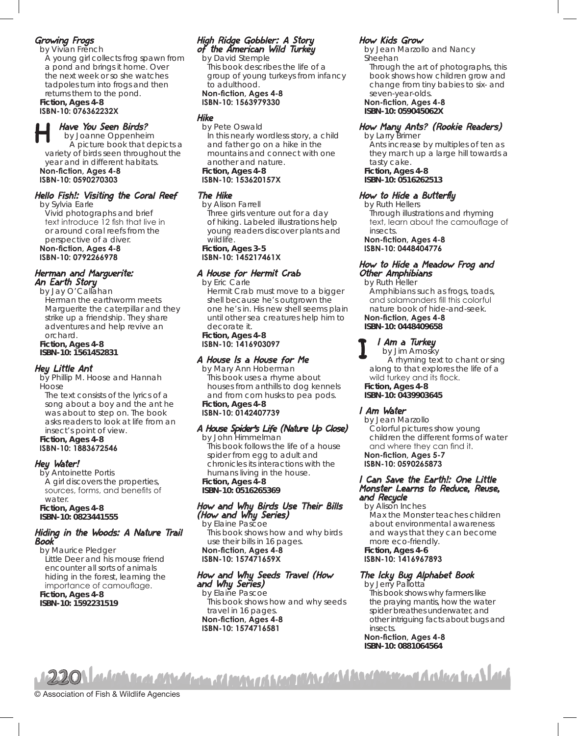## Growing Frogs

by Vivian French A young girl collects frog spawn from a pond and brings it home. Over the next week or so she watches tadpoles turn into frogs and then returns them to the pond. **Fiction, Ages 4-8 ISBN-10: 076362232X** 

## Have You Seen Birds?

by Joanne Oppenheim A picture book that depicts a variety of birds seen throughout the year and in different habitats. H

**Non-fiction, Ages 4-8 ISBN-10: 0590270303** 

## Hello Fish!: Visiting the Coral Reef

by Sylvia Earle Vivid photographs and brief text introduce 12 fish that live in or around coral reefs from the perspective of a diver.

**Non-fiction, Ages 4-8 ISBN-10: 0792266978**

## Herman and Marguerite: An Earth Story

by Jay O'Callahan Herman the earthworm meets Marguerite the caterpillar and they strike up a friendship. They share adventures and help revive an orchard. **Fiction, Ages 4-8 ISBN-10: 1561452831**

#### Hey Little Ant

by Phillip M. Hoose and Hannah Hoose

The text consists of the lyrics of a song about a boy and the ant he was about to step on. The book asks readers to look at life from an insect's point of view. **Fiction, Ages 4-8**

## **ISBN-10: 1883672546**

#### Hey Water!

by Antoinette Portis A girl discovers the properties, sources, forms, and benefits of water. **Fiction, Ages 4-8 ISBN-10: 0823441555**

Hiding in the Woods: A Nature Trail Book

by Maurice Pledger Little Deer and his mouse friend encounter all sorts of animals hiding in the forest, learning the importance of camouflage. **Fiction, Ages 4-8**

## **ISBN-10: 1592231519**

## High Ridge Gobbler: A Story of the American Wild Turkey

by David Stemple This book describes the life of a group of young turkeys from infancy to adulthood. **Non-fiction, Ages 4-8 ISBN-10: 1563979330**

#### Hike

by Pete Oswald In this nearly wordless story, a child and father go on a hike in the mountains and connect with one another and nature. **Fiction, Ages 4-8 ISBN-10: 153620157X**

#### The Hike

by Alison Farrell Three girls venture out for a day of hiking. Labeled illustrations help young readers discover plants and wildlife. **Fiction, Ages 3-5**

**ISBN-10: 145217461X**

## A House for Hermit Crab

by Eric Carle Hermit Crab must move to a bigger shell because he's outgrown the one he's in. His new shell seems plain until other sea creatures help him to decorate it.

#### **Fiction, Ages 4-8 ISBN-10: 1416903097**

## A House Is a House for Me

by Mary Ann Hoberman This book uses a rhyme about houses from anthills to dog kennels and from corn husks to pea pods. **Fiction, Ages 4-8 ISBN-10: 0142407739**

## A House Spider's Life (Nature Up Close)

by John Himmelman This book follows the life of a house spider from egg to adult and chronicles its interactions with the humans living in the house. **Fiction, Ages 4-8 ISBN-10: 0516265369**

#### How and Why Birds Use Their Bills (How and Why Series)

by Elaine Pascoe This book shows how and why birds use their bills in 16 pages. **Non-fiction, Ages 4-8 ISBN-10: 157471659X**

#### How and Why Seeds Travel (How and Why Series)

by Elaine Pascoe This book shows how and why seeds travel in 16 pages. **Non-fiction, Ages 4-8 ISBN-10: 1574716581**

## How Kids Grow

by Jean Marzollo and Nancy Sheehan

Through the art of photographs, this book shows how children grow and change from tiny babies to six- and seven-year-olds.

**Non-fiction, Ages 4-8** 

**ISBN-10: 059045062X** 

#### How Many Ants? (Rookie Readers)

by Larry Brimer Ants increase by multiples of ten as they march up a large hill towards a tasty cake. **Fiction, Ages 4-8**

**ISBN-10: 0516262513** 

#### How to Hide a Butterfly

by Ruth Hellers Through illustrations and rhyming text, learn about the camouflage of insects.

**Non-fiction, Ages 4-8 ISBN-10: 0448404776**

#### How to Hide a Meadow Frog and Other Amphibians

by Ruth Heller

Amphibians such as frogs, toads, and salamanders fill this colorful nature book of hide-and-seek.

**Non-fiction, Ages 4-8 ISBN-10: 0448409658**

## I Am a Turkey

by Jim Arnosky A rhyming text to chant or sing along to that explores the life of a wild turkey and its flock. **Fiction, Ages 4-8 ISBN-10: 0439903645**

#### I Am Water

I

by Jean Marzollo Colorful pictures show young children the different forms of water and where they can find it. **Non-fiction, Ages 5-7 ISBN-10: 0590265873**

#### I Can Save the Earth!: One Little Monster Learns to Reduce, Reuse, and Recycle

by Alison Inches Max the Monster teaches children about environmental awareness and ways that they can become more eco-friendly.

#### **Fiction, Ages 4-6 ISBN-10: 1416967893**

## The Icky Bug Alphabet Book

by Jerry Pallotta This book shows why farmers like the praying mantis, how the water spider breathes underwater, and other intriguing facts about bugs and insects.

**Non-fiction, Ages 4-8 ISBN-10: 0881064564**

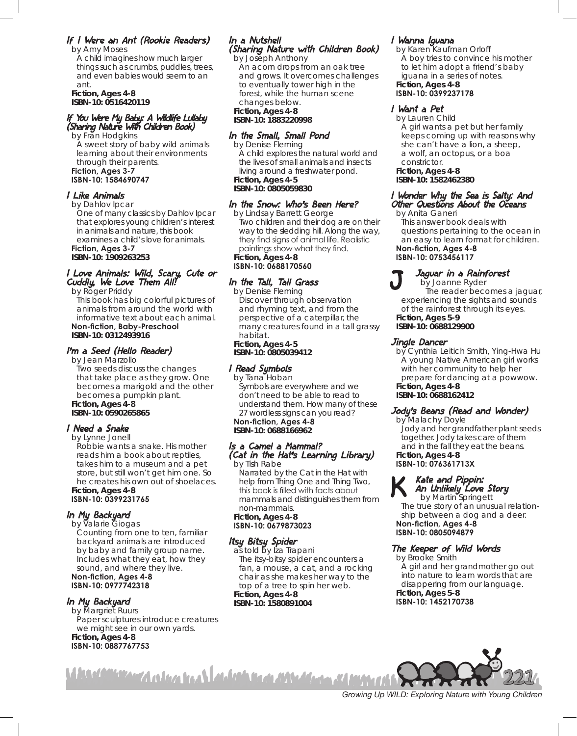## If I Were an Ant (Rookie Readers)

by Amy Moses

A child imagines how much larger things such as crumbs, puddles, trees, and even babies would seem to an ant. **Fiction, Ages 4-8** 

**ISBN-10: 0516420119**

#### If You Were My Baby: A Wildlife Lullaby (Sharing Nature With Children Book)

by Fran Hodgkins A sweet story of baby wild animals learning about their environments through their parents. **Fiction, Ages 3-7**

#### **ISBN-10: 1584690747**

#### I Like Animals

by Dahlov Ipcar One of many classics by Dahlov Ipcar that explores young children's interest in animals and nature, this book examines a child's love for animals. **Fiction, Ages 3-7**

**ISBN-10: 1909263253**

#### I Love Animals: Wild, Scary, Cute or Cuddly, We Love Them All!

by Roger Priddy This book has big colorful pictures of

animals from around the world with informative text about each animal. **Non-fiction, Baby-Preschool ISBN-10: 0312493916**

#### I'm a Seed (Hello Reader)

by Jean Marzollo Two seeds discuss the changes that take place as they grow. One becomes a marigold and the other becomes a pumpkin plant.

**Fiction, Ages 4-8 ISBN-10: 0590265865**

## I Need a Snake

by Lynne Jonell Robbie wants a snake. His mother reads him a book about reptiles, takes him to a museum and a pet store, but still won't get him one. So he creates his own out of shoelaces. **Fiction, Ages 4-8**

## **ISBN-10: 0399231765**

## In My Backyard

by Valarie Giogas Counting from one to ten, familiar backyard animals are introduced by baby and family group name. Includes what they eat, how they sound, and where they live. **Non-fiction, Ages 4-8 ISBN-10: 0977742318**

## In My Backyard

by Margriet Ruurs Paper sculptures introduce creatures we might see in our own yards. **Fiction, Ages 4-8 ISBN-10: 0887767753**

## In a Nutshell<br>(Sharing Nature with Children Book)

by Joseph Anthony

An acorn drops from an oak tree and grows. It overcomes challenges to eventually tower high in the forest, while the human scene changes below. **Fiction, Ages 4-8**

**ISBN-10: 1883220998**

## In the Small, Small Pond

by Denise Fleming A child explores the natural world and the lives of small animals and insects living around a freshwater pond. **Fiction, Ages 4-5**

**ISBN-10: 0805059830**

## In the Snow: Who's Been Here?

by Lindsay Barrett George Two children and their dog are on their way to the sledding hill. Along the way, they find signs of animal life. Realistic paintings show what they find. **Fiction, Ages 4-8 ISBN-10: 0688170560** 

## In the Tall, Tall Grass

by Denise Fleming Discover through observation and rhyming text, and from the perspective of a caterpillar, the many creatures found in a tall grassy habitat.

**Fiction, Ages 4-5 ISBN-10: 0805039412**

## I Read Symbols

by Tana Hoban Symbols are everywhere and we don't need to be able to read to understand them. How many of these 27 wordless signs can you read?

**Non-fiction, Ages 4-8 ISBN-10: 0688166962**

## Is a Camel a Mammal? (Cat in the Hat's Learning Library)

by Tish Rabe Narrated by the Cat in the Hat with help from Thing One and Thing Two, this book is filled with facts about mammals and distinguishes them from non-mammals.

**Fiction, Ages 4-8 ISBN-10: 0679873023**

## Itsy Bitsy Spider

as told by Iza Trapani The itsy-bitsy spider encounters a fan, a mouse, a cat, and a rocking chair as she makes her way to the top of a tree to spin her web. **Fiction, Ages 4-8** 

**ISBN-10: 1580891004**

## I Wanna Iguana

by Karen Kaufman Orloff A boy tries to convince his mother to let him adopt a friend's baby iguana in a series of notes. **Fiction, Ages 4-8**

## **ISBN-10: 0399237178**

## I Want a Pet

by Lauren Child

A girl wants a pet but her family keeps coming up with reasons why she can't have a lion, a sheep, a wolf, an octopus, or a boa constrictor. **Fiction, Ages 4-8 ISBN-10: 1582462380**

#### I Wonder Why the Sea is Salty: And Other Questions About the Oceans

by Anita Ganeri This answer book deals with questions pertaining to the ocean in an easy to learn format for children.

#### **Non-fiction, Ages 4-8 ISBN-10: 0753456117**



by Joanne Ryder The reader becomes a jaguar, experiencing the sights and sounds of the rainforest through its eyes. **Fiction, Ages 5-9** 

**ISBN-10: 0688129900** 

## Jingle Dancer

J

by Cynthia Leitich Smith, Ying-Hwa Hu A young Native American girl works with her community to help her prepare for dancing at a powwow. **Fiction, Ages 4-8 ISBN-10: 0688162412**

## Jody's Beans (Read and Wonder)

by Malachy Doyle Jody and her grandfather plant seeds together. Jody takes care of them and in the fall they eat the beans. **Fiction, Ages 4-8**

## **ISBN-10: 076361713X**

#### Kate and Pippin: An Unlikely Love Story by Martin Springett K

The true story of an unusual relationship between a dog and a deer. **Non-fiction, Ages 4-8**

## **ISBN-10: 0805094879**

## The Keeper of Wild Words

by Brooke Smith A girl and her grandmother go out into nature to learn words that are disappering from our language. **Fiction, Ages 5-8 ISBN-10: 1452170738**

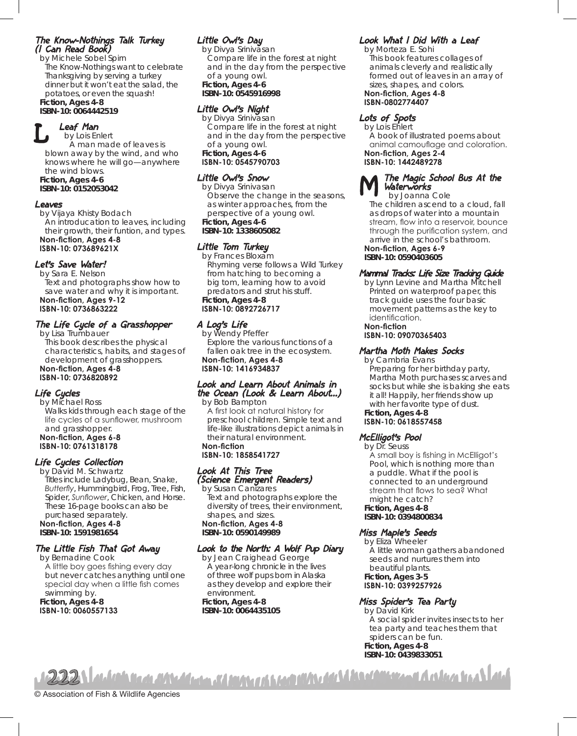## The Know-Nothings Talk Turkey (I Can Read Book)

by Michele Sobel Spirn The Know-Nothings want to celebrate Thanksgiving by serving a turkey dinner but it won't eat the salad, the potatoes, or even the squash! **Fiction, Ages 4-8 ISBN-10: 0064442519**

## Leaf Man L

by Lois Enlert A man made of leaves is blown away by the wind, and who knows where he will go—anywhere the wind blows.

**Fiction, Ages 4-6 ISBN-10: 0152053042**

#### Leaves

by Vijaya Khisty Bodach An introducation to leaves, including their growth, their funtion, and types. **Non-fiction, Ages 4-8 ISBN-10: 073689621X**

#### Let's Save Water!

by Sara E. Nelson Text and photographs show how to save water and why it is important. **Non-fiction, Ages 9-12 ISBN-10: 0736863222**

#### The Life Cycle of a Grasshopper

by Lisa Trumbauer This book describes the physical characteristics, habits, and stages of development of grasshoppers. **Non-fiction, Ages 4-8 ISBN-10: 0736820892**

## Life Cycles

by Michael Ross Walks kids through each stage of the life cycles of a sunflower, mushroom and grasshopper.

**Non-fiction, Ages 6-8 ISBN-10: 0761318178**

## Life Cycles Collection

by David M. Schwartz Titles include *Ladybug*, *Bean*, *Snake*, *Butterfly*, *Hummingbird*, *Frog*, *Tree*, *Fish*, *Spider*, *Sunflower*, *Chicken*, and *Horse*. These 16-page books can also be purchased separately. **Non-fiction, Ages 4-8 ISBN-10: 1591981654**

## The Little Fish That Got Away

by Bernadine Cook A little boy goes fishing every day but never catches anything until one special day when a little fish comes swimming by. **Fiction, Ages 4-8**

**ISBN-10: 0060557133**

## Little Owl's Day

by Divya Srinivasan Compare life in the forest at night and in the day from the perspective of a young owl. **Fiction, Ages 4-6**

## **ISBN-10: 0545916998**

#### Little Owl's Night

by Divya Srinivasan Compare life in the forest at night and in the day from the perspective of a young owl. **Fiction, Ages 4-6 ISBN-10: 0545790703**

#### Little Owl's Snow

by Divya Srinivasan Observe the change in the seasons, as winter approaches, from the perspective of a young owl. **Fiction, Ages 4-6 ISBN-10: 1338605082**

#### Little Tom Turkey

by Frances Bloxam Rhyming verse follows a Wild Turkey from hatching to becoming a big tom, learning how to avoid predators and strut his stuff. **Fiction, Ages 4-8 ISBN-10: 0892726717**

#### A Log's Life

by Wendy Pfeffer Explore the various functions of a fallen oak tree in the ecosystem. **Non-fiction, Ages 4-8 ISBN-10: 1416934837**

#### Look and Learn About Animals in the Ocean (Look & Learn About…)

by Bob Bampton A first look at natural history for preschool children. Simple text and life-like illustrations depict animals in their natural environment. **Non-fiction**

**ISBN-10: 1858541727**

## Look At This Tree (Science Emergent Readers)

by Susan Canizares Text and photographs explore the diversity of trees, their environment, shapes, and sizes. **Non-fiction, Ages 4-8 ISBN-10: 0590149989**

## Look to the North: A Wolf Pup Diary

by Jean Craighead George A year-long chronicle in the lives of three wolf pups born in Alaska as they develop and explore their environment. **Fiction, Ages 4-8 ISBN-10: 0064435105**

## Look What I Did With a Leaf

by Morteza E. Sohi This book features collages of animals cleverly and realistically formed out of leaves in an array of sizes, shapes, and colors. **Non-fiction, Ages 4-8 ISBN-0802774407**

## Lots of Spots

by Lois Ehlert A book of illustrated poems about animal camouflage and coloration. **Non-fiction, Ages 2-4 ISBN-10: 1442489278**

#### The Magic School Bus At the Waterworks M

by Joanna Cole The children ascend to a cloud, fall as drops of water into a mountain stream, flow into a reservoir, bounce through the purification system, and arrive in the school's bathroom.

**Non-fiction, Ages 6-9 ISBN-10: 0590403605**

## Mammal Tracks: Life Size Tracking Guide

by Lynn Levine and Martha Mitchell Printed on waterproof paper, this track guide uses the four basic movement patterns as the key to identification. **Non-fiction**

**ISBN-10: 09070365403**

#### Martha Moth Makes Socks

by Cambria Evans Preparing for her birthday party, Martha Moth purchases scarves and socks but while she is baking she eats it all! Happily, her friends show up with her favorite type of dust. **Fiction, Ages 4-8**

## **ISBN-10: 0618557458**

## McElligot's Pool

by Dr. Seuss A small boy is fishing in McElligot's Pool, which is nothing more than a puddle. What if the pool is connected to an underground stream that flows to sea? What might he catch? **Fiction, Ages 4-8** 

**ISBN-10: 0394800834**

## Miss Maple's Seeds

by Eliza Wheeler A little woman gathers abandoned seeds and nurtures them into beautiful plants. **Fiction, Ages 3-5 ISBN-10: 0399257926**

#### Miss Spider's Tea Party

by David Kirk A social spider invites insects to her tea party and teaches them that spiders can be fun. **Fiction, Ages 4-8 ISBN-10: 0439833051**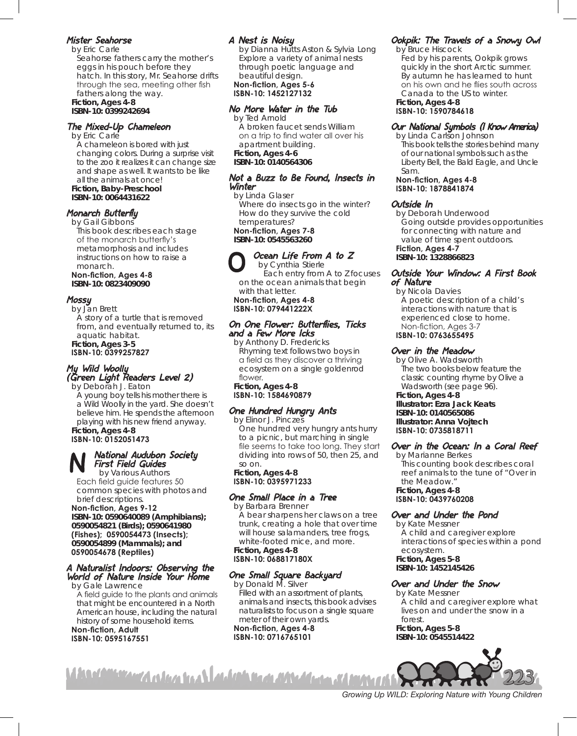#### Mister Seahorse

by Eric Carle Seahorse fathers carry the mother's eggs in his pouch before they hatch. In this story, Mr. Seahorse drifts through the sea, meeting other fish fathers along the way. **Fiction, Ages 4-8 ISBN-10: 0399242694**

## The Mixed-Up Chameleon

by Eric Carle A chameleon is bored with just changing colors. During a surprise visit to the zoo it realizes it can change size and shape as well. It wants to be like all the animals at once! **Fiction, Baby-Preschool ISBN-10: 0064431622**

#### Monarch Butterfly

by Gail Gibbons This book describes each stage of the monarch butterfly's metamorphosis and includes instructions on how to raise a monarch. **Non-fiction, Ages 4-8** 

**ISBN-10: 0823409090** 

#### Mossy

by Jan Brett A story of a turtle that is removed from, and eventually returned to, its aquatic habitat. **Fiction, Ages 3-5 ISBN-10: 0399257827**

#### My Wild Woolly (Green Light Readers Level 2)

by Deborah J. Eaton A young boy tells his mother there is a Wild Woolly in the yard. She doesn't believe him. He spends the afternoon playing with his new friend anyway. **Fiction, Ages 4-8**

## **ISBN-10: 0152051473**

#### National Audubon Society First Field Guides by Various Authors N

Each field guide features 50 common species with photos and brief descriptions.

**Non-fiction, Ages 9-12 ISBN-10: 0590640089 (Amphibians); 0590054821 (Birds); 0590641980 (Fishes); 0590054473 (Insects); 0590054899 (Mammals); and 0590054678 (Reptiles)**

#### A Naturalist Indoors: Observing the World of Nature Inside Your Home

by Gale Lawrence A field guide to the plants and animals that might be encountered in a North American house, including the natural history of some household items. **Non-fiction, Adult**

**ISBN-10: 0595167551**

#### A Nest is Noisy

by Dianna Hutts Aston & Sylvia Long Explore a variety of animal nests through poetic language and beautiful design.

**Non-fiction, Ages 5-6 ISBN-10: 1452127132**

#### No More Water in the Tub

by Ted Arnold A broken faucet sends William on a trip to find water all over his apartment building. **Fiction, Ages 4-6 ISBN-10: 0140564306**

#### Not a Buzz to Be Found, Insects in Winter

by Linda Glaser Where do insects go in the winter? How do they survive the cold temperatures?

**Non-fiction, Ages 7-8 ISBN-10: 0545563260**

## Ocean Life From A to Z O

by Cynthia Stierle Each entry from A to Z focuses on the ocean animals that begin with that letter.

**Non-fiction, Ages 4-8 ISBN-10: 079441222X**

#### On One Flower: Butterflies, Ticks and a Few More Icks

by Anthony D. Fredericks Rhyming text follows two boys in a field as they discover a thriving ecosystem on a single goldenrod flower.

**Fiction, Ages 4-8 ISBN-10: 1584690879**

#### One Hundred Hungry Ants

by Elinor J. Pinczes One hundred very hungry ants hurry to a picnic, but marching in single file seems to take too long. They start dividing into rows of 50, then 25, and so on. **Fiction, Ages 4-8** 

**ISBN-10: 0395971233**

#### One Small Place in a Tree

by Barbara Brenner A bear sharpens her claws on a tree trunk, creating a hole that over time will house salamanders, tree frogs, white-footed mice, and more.

**Fiction, Ages 4-8 ISBN-10: 068817180X**

## One Small Square Backyard

by Donald M. Silver Filled with an assortment of plants, animals and insects, this book advises naturalists to focus on a single square meter of their own yards.

**Non-fiction, Ages 4-8 ISBN-10: 0716765101**

<u>i haci diktimi Araban ta a lalah da an antalana ali mara</u>

## Ookpik: The Travels of a Snowy Owl

by Bruce Hiscock Fed by his parents, Ookpik grows quickly in the short Arctic summer. By autumn he has learned to hunt on his own and he flies south across Canada to the US to winter. **Fiction, Ages 4-8** 

**ISBN-10: 1590784618**

## Our National Symbols (I Know America)

by Linda Carlson Johnson This book tells the stories behind many of our national symbols such as the Liberty Bell, the Bald Eagle, and Uncle Sam.

**Non-fiction, Ages 4-8 ISBN-10: 1878841874**

## Outside In

by Deborah Underwood Going outside provides opportunities for connecting with nature and value of time spent outdoors.

**Fiction, Ages 4-7 ISBN-10: 1328866823**

#### Outside Your Window: A First Book of Nature

by Nicola Davies A poetic description of a child's interactions with nature that is experienced close to home. Non-fiction, Ages 3-7

**ISBN-10: 0763655495**

#### Over in the Meadow

by Olive A. Wadsworth The two books below feature the classic counting rhyme by Olive a Wadsworth (see page 96). **Fiction, Ages 4-8 Illustrator: Ezra Jack Keats ISBN-10: 0140565086 Illustrator: Anna Vojtech ISBN-10: 0735818711**

## Over in the Ocean: In a Coral Reef

by Marianne Berkes This counting book describes coral reef animals to the tune of "Over in the Meadow." **Fiction, Ages 4-8 ISBN-10: 0439760208**

#### Over and Under the Pond

by Kate Messner A child and caregiver explore interactions of species within a pond ecosystem. **Fiction, Ages 5-8 ISBN-10: 1452145426**

## Over and Under the Snow

by Kate Messner A child and caregiver explore what lives on and under the snow in a forest.

**Fiction, Ages 5-8 ISBN-10: 0545514422**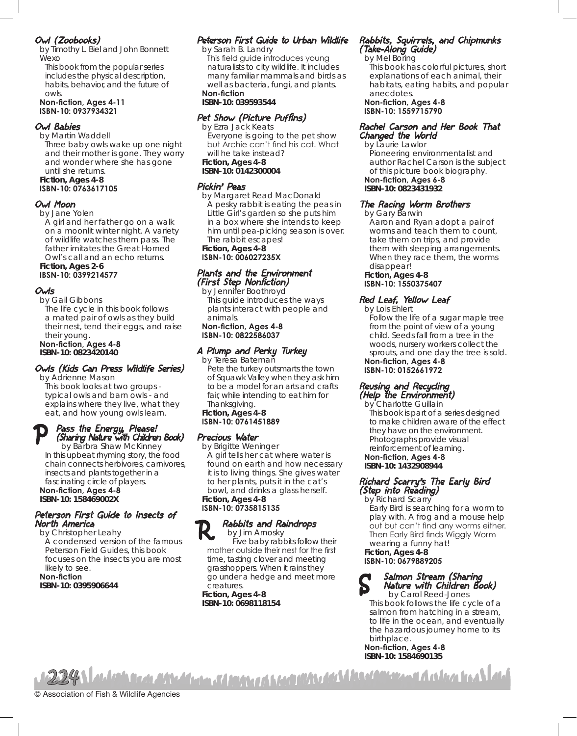## Owl (Zoobooks)

by Timothy L. Biel and John Bonnett Wexo

This book from the popular series includes the physical description, habits, behavior, and the future of owls.

#### **Non-fiction, Ages 4-11 ISBN-10: 0937934321**

#### Owl Babies

by Martin Waddell Three baby owls wake up one night and their mother is gone. They worry and wonder where she has gone

until she returns. **Fiction, Ages 4-8 ISBN-10: 0763617105** 

#### Owl Moon

by Jane Yolen

A girl and her father go on a walk on a moonlit winter night. A variety of wildlife watches them pass. The father imitates the Great Horned Owl's call and an echo returns. **Fiction, Ages 2-6** 

## **IBSN-10: 0399214577**

#### Owls

by Gail Gibbons The life cycle in this book follows a mated pair of owls as they build

their nest, tend their eggs, and raise their young. **Non-fiction, Ages 4-8**

**ISBN-10: 0823420140**

## Owls (Kids Can Press Wildlife Series)

by Adrienne Mason This book looks at two groups typical owls and barn owls - and explains where they live, what they eat, and how young owls learn.

#### Pass the Energy, Please! (Sharing Nature with Children Book) P

by Barbra Shaw McKinney In this upbeat rhyming story, the food chain connects herbivores, carnivores, insects and plants together in a fascinating circle of players. **Non-fiction, Ages 4-8 ISBN-10: 158469002X** 

#### Peterson First Guide to Insects of North America

by Christopher Leahy A condensed version of the famous Peterson Field Guides, this book focuses on the insects you are most likely to see. **Non-fiction**

© Association of Fish & Wildlife Agencies

**ISBN-10: 0395906644**

## Peterson First Guide to Urban Wildlife

by Sarah B. Landry This field guide introduces young naturalists to city wildlife. It includes many familiar mammals and birds as well as bacteria, fungi, and plants. **Non-fiction**

#### **ISBN-10: 039593544**

## Pet Show (Picture Puffins)

by Ezra Jack Keats Everyone is going to the pet show but Archie can't find his cat. What will he take instead? **Fiction, Ages 4-8 ISBN-10: 0142300004** 

#### Pickin' Peas

by Margaret Read MacDonald A pesky rabbit is eating the peas in Little Girl's garden so she puts him in a box where she intends to keep him until pea-picking season is over. The rabbit escapes! **Fiction, Ages 4-8 ISBN-10: 006027235X**

#### Plants and the Environment (First Step Nonfiction)

by Jennifer Boothroyd This guide introduces the ways plants interact with people and animals. **Non-fiction, Ages 4-8 ISBN-10: 0822586037**

## A Plump and Perky Turkey

by Teresa Bateman Pete the turkey outsmarts the town of Squawk Valley when they ask him to be a model for an arts and crafts fair, while intending to eat him for Thanksgiving. **Fiction, Ages 4-8 ISBN-10: 0761451889**

## Precious Water

by Brigitte Weninger A girl tells her cat where water is found on earth and how necessary it is to living things. She gives water to her plants, puts it in the cat's bowl, and drinks a glass herself. **Fiction, Ages 4-8**

## **ISBN-10: 0735815135**



## Rabbits and Raindrops

by Jim Arnosky Five baby rabbits follow their mother outside their nest for the first time, tasting clover and meeting grasshoppers. When it rains they go under a hedge and meet more creatures.

**Fiction, Ages 4-8 ISBN-10: 0698118154**

#### Rabbits, Squirrels, and Chipmunks (Take-Along Guide)

by Mel Boring

This book has colorful pictures, short explanations of each animal, their habitats, eating habits, and popular anecdotes.

**Non-fiction, Ages 4-8 ISBN-10: 1559715790**

#### Rachel Carson and Her Book That Changed the World

by Laurie Lawlor Pioneering environmentalist and author Rachel Carson is the subject of this picture book biography. **Non-fiction, Ages 6-8 ISBN-10: 0823431932**

## The Racing Worm Brothers

by Gary Barwin Aaron and Ryan adopt a pair of worms and teach them to count, take them on trips, and provide them with sleeping arrangements. When they race them, the worms disappear!

**Fiction, Ages 4-8 ISBN-10: 1550375407**

## Red Leaf, Yellow Leaf

by Lois Ehlert

Follow the life of a sugar maple tree from the point of view of a young child. Seeds fall from a tree in the woods, nursery workers collect the sprouts, and one day the tree is sold.

**Non-fiction, Ages 4-8 ISBN-10: 0152661972**

#### Reusing and Recycling (Help the Environment)

by Charlotte Guillain This book is part of a series designed to make children aware of the effect they have on the environment. Photographs provide visual reinforcement of learning. **Non-fiction, Ages 4-8**

**ISBN-10: 1432908944**

## Richard Scarry's The Early Bird (Step into Reading)

by Richard Scarry Early Bird is searching for a worm to play with. A frog and a mouse help out but can't find any worms either. Then Early Bird finds Wiggly Worm wearing a funny hat!

**Fiction, Ages 4-8 ISBN-10: 0679889205**



Salmon Stream (Sharing Nature with Children Book)

by Carol Reed-Jones This book follows the life cycle of a salmon from hatching in a stream, to life in the ocean, and eventually the hazardous journey home to its birthplace.

**Non-fiction, Ages 4-8 ISBN-10: 1584690135**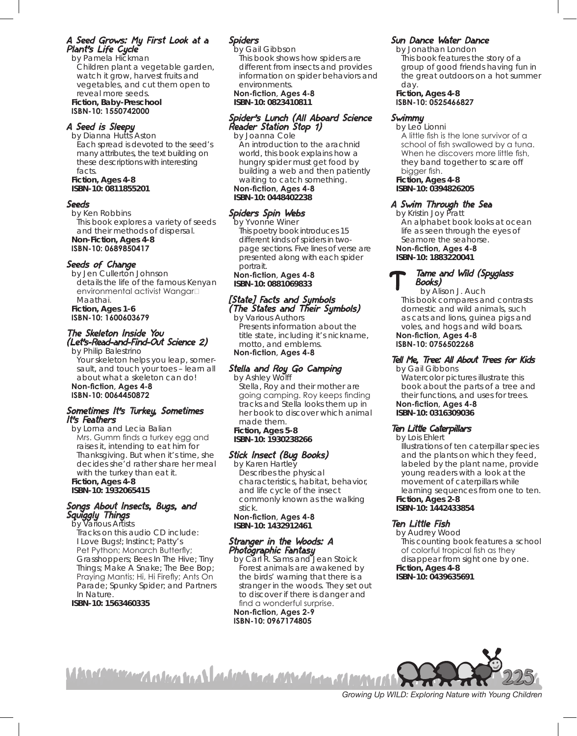#### A Seed Grows: My First Look at a Plant's Life Cycle

by Pamela Hickman Children plant a vegetable garden, watch it grow, harvest fruits and vegetables, and cut them open to reveal more seeds. **Fiction, Baby-Preschool**

**ISBN-10: 1550742000**

#### A Seed is Sleepy

by Dianna Hutts Aston Each spread is devoted to the seed's many attributes, the text building on these descriptions with interesting facts. **Fiction, Ages 4-8**

**ISBN-10: 0811855201**

#### Seeds

by Ken Robbins This book explores a variety of seeds and their methods of dispersal. **Non-Fiction, Ages 4-8 ISBN-10: 0689850417**

#### Seeds of Change

by Jen Cullerton Johnson details the life of the famous Kenyan environmental activist Wangar<sup>1</sup> Maathai. **Fiction, Ages 1-6 ISBN-10: 1600603679**

#### The Skeleton Inside You (Let's-Read-and-Find-Out Science 2)

by Philip Balestrino Your skeleton helps you leap, somersault, and touch your toes – learn all about what a skeleton can do! **Non-fiction, Ages 4-8 ISBN-10: 0064450872**

#### Sometimes It's Turkey, Sometimes It's Feathers

by Lorna and Lecia Balian Mrs. Gumm finds a turkey egg and raises it, intending to eat him for Thanksgiving. But when it's time, she decides she'd rather share her meal with the turkey than eat it. **Fiction, Ages 4-8**

## **ISBN-10: 1932065415**

#### Songs About Insects, Bugs, and Squiggly Things

by Various Artists Tracks on this audio CD include: I Love Bugs!; Instinct; Patty's Pet Python; Monarch Butterfly;

Grasshoppers; Bees In The Hive; Tiny Things; Make A Snake; The Bee Bop; Praying Mantis; Hi, Hi Firefly; Ants On Parade; Spunky Spider; and Partners In Nature.

**ISBN-10: 1563460335**

## Spiders

by Gail Gibbson This book shows how spiders are different from insects and provides information on spider behaviors and environments.

**Non-fiction, Ages 4-8 ISBN-10: 0823410811**

#### Spider's Lunch (All Aboard Science Reader Station Stop 1)

by Joanna Cole An introduction to the arachnid world, this book explains how a hungry spider must get food by building a web and then patiently waiting to catch something. **Non-fiction, Ages 4-8** 

**ISBN-10: 0448402238** 

#### Spiders Spin Webs

by Yvonne Winer This poetry book introduces 15 different kinds of spiders in twopage sections. Five lines of verse are presented along with each spider portrait.

**Non-fiction, Ages 4-8 ISBN-10: 0881069833** 

## [State] Facts and Symbols (The States and Their Symbols)

by Various Authors Presents information about the title state, including it's nickname, motto, and emblems. **Non-fiction, Ages 4-8**

## Stella and Roy Go Camping

by Ashley Wolff Stella, Roy and their mother are going camping. Roy keeps finding tracks and Stella looks them up in her book to discover which animal made them. **Fiction, Ages 5-8**

**ISBN-10: 1930238266**

## Stick Insect (Bug Books)

by Karen Hartley Describes the physical characteristics, habitat, behavior, and life cycle of the insect commonly known as the walking stick.

**Non-fiction, Ages 4-8 ISBN-10: 1432912461**

#### Stranger in the Woods: A Photographic Fantasy

by Carl R. Sams and Jean Stoick Forest animals are awakened by the birds' warning that there is a stranger in the woods. They set out to discover if there is danger and find a wonderful surprise.

**Non-fiction, Ages 2-9 ISBN-10: 0967174805**

## Sun Dance Water Dance

by Jonathan London This book features the story of a group of good friends having fun in the great outdoors on a hot summer day. **Fiction, Ages 4-8**

**ISBN-10: 0525466827**

#### Swimmy

by Leo Lionni A little fish is the lone survivor of a school of fish swallowed by a tuna. When he discovers more little fish, they band together to scare off bigger fish. **Fiction, Ages 4-8 ISBN-10: 0394826205**

#### A Swim Through the Sea

by Kristin Joy Pratt An alphabet book looks at ocean life as seen through the eyes of Seamore the seahorse.

**Non-fiction, Ages 4-8 ISBN-10: 1883220041**

#### Tame and Wild (Spyglass Books) T

by Alison J. Auch This book compares and contrasts domestic and wild animals, such as cats and lions, guinea pigs and voles, and hogs and wild boars.

#### **Non-fiction, Ages 4-8 ISBN-10: 0756502268**

## Tell Me, Tree: All About Trees for Kids

by Gail Gibbons Watercolor pictures illustrate this book about the parts of a tree and their functions, and uses for trees.

**Non-fiction, Ages 4-8 ISBN-10: 0316309036**

## Ten Little Caterpillars

by Lois Ehlert Illustrations of ten caterpillar species and the plants on which they feed, labeled by the plant name, provide young readers with a look at the movement of caterpillars while learning sequences from one to ten. **Fiction, Ages 2-8 ISBN-10: 1442433854**

## Ten Little Fish

by Audrey Wood This counting book features a school of colorful tropical fish as they disappear from sight one by one. **Fiction, Ages 4-8 ISBN-10: 0439635691**

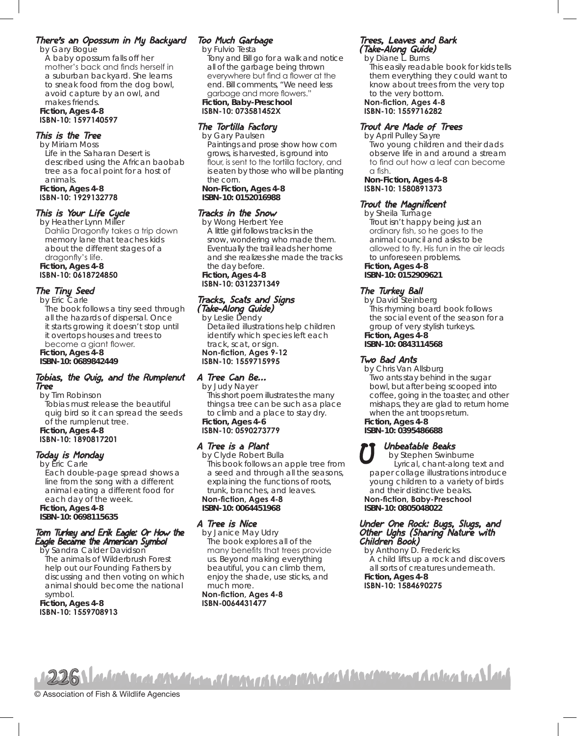## There's an Opossum in My Backyard

by Gary Bogue A baby opossum falls off her mother's back and finds herself in a suburban backyard. She learns to sneak food from the dog bowl, avoid capture by an owl, and makes friends.

#### **Fiction, Ages 4-8 ISBN-10: 1597140597**

#### This is the Tree

by Miriam Moss Life in the Saharan Desert is described using the African baobab tree as a focal point for a host of animals. **Fiction, Ages 4-8 ISBN-10: 1929132778**

#### This is Your Life Cycle

by Heather Lynn Miller Dahlia Dragonfly takes a trip down memory lane that teaches kids about the different stages of a dragonfly's life. **Fiction, Ages 4-8 ISBN-10: 0618724850**

#### The Tiny Seed

by Eric Carle

The book follows a tiny seed through all the hazards of dispersal. Once it starts growing it doesn't stop until it overtops houses and trees to become a giant flower. **Fiction, Ages 4-8 ISBN-10: 0689842449**

#### Tobias, the Quig, and the Rumplenut Tree

by Tim Robinson Tobias must release the beautiful quig bird so it can spread the seeds of the rumplenut tree. **Fiction, Ages 4-8**

## **ISBN-10: 1890817201**

## Today is Monday

by Eric Carle Each double-page spread shows a line from the song with a different animal eating a different food for each day of the week. **Fiction, Ages 4-8 ISBN-10: 0698115635**

#### Tom Turkey and Erik Eagle: Or How the Eagle Became the American Symbol

by Sandra Calder Davidson The animals of Wilderbrush Forest help out our Founding Fathers by discussing and then voting on which animal should become the national symbol.

**Fiction, Ages 4-8 ISBN-10: 1559708913**

## Too Much Garbage

by Fulvio Testa Tony and Bill go for a walk and notice all of the garbage being thrown everywhere but find a flower at the end. Bill comments, "We need less garbage and more flowers." **Fiction, Baby-Preschool ISBN-10: 073581452X**

#### The Tortilla Factory

by Gary Paulsen Paintings and prose show how corn grows, is harvested, is ground into flour, is sent to the tortilla factory, and is eaten by those who will be planting the corn. **Non-Fiction, Ages 4-8 ISBN-10: 0152016988**

#### Tracks in the Snow

by Wong Herbert Yee A little girl follows tracks in the snow, wondering who made them. Eventually the trail leads her home and she realizes she made the tracks the day before. **Fiction, Ages 4-8 ISBN-10: 0312371349**

#### Tracks, Scats and Signs (Take-Along Guide)

by Leslie Dendy Detailed illustrations help children identify which species left each track, scat, or sign. **Non-fiction, Ages 9-12 ISBN-10: 1559715995**

## A Tree Can Be...

by Judy Nayer This short poem illustrates the many things a tree can be such as a place to climb and a place to stay dry. **Fiction, Ages 4-6 ISBN-10: 0590273779**

#### A Tree is a Plant

by Clyde Robert Bulla This book follows an apple tree from a seed and through all the seasons, explaining the functions of roots, trunk, branches, and leaves. **Non-fiction, Ages 4-8 ISBN-10: 0064451968**

#### A Tree is Nice

by Janice May Udry The book explores all of the many benefits that trees provide us. Beyond making everything beautiful, you can climb them, enjoy the shade, use sticks, and much more.

**Non-fiction, Ages 4-8 ISBN-0064431477**

## Trees, Leaves and Bark (Take-Along Guide)

by Diane L. Burns

This easily readable book for kids tells them everything they could want to know about trees from the very top to the very bottom.

**Non-fiction, Ages 4-8 ISBN-10: 1559716282**

#### Trout Are Made of Trees

by April Pulley Sayre Two young children and their dads observe life in and around a stream to find out how a leaf can become  $\alpha$  fish. **Non-Fiction, Ages 4-8**

**ISBN-10: 1580891373**

## Trout the Magnificent

by Sheila Turnage Trout isn't happy being just an ordinary fish, so he goes to the animal council and asks to be allowed to fly. His fun in the air leads to unforeseen problems. **Fiction, Ages 4-8** 

**ISBN-10: 0152909621**

## The Turkey Ball

by David Steinberg This rhyming board book follows the social event of the season for a group of very stylish turkeys. **Fiction, Ages 4-8**

**ISBN-10: 0843114568**

## Two Bad Ants

by Chris Van Allsburg Two ants stay behind in the sugar bowl, but after being scooped into coffee, going in the toaster, and other mishaps, they are glad to return home when the ant troops return.

**Fiction, Ages 4-8 ISBN-10: 0395486688**

## Unbeatable Beaks

by Stephen Swinburne Lyrical, chant-along text and paper collage illustrations introduce young children to a variety of birds and their distinctive beaks. **Non-fiction, Baby-Preschool ISBN-10: 0805048022** U

#### Under One Rock: Bugs, Slugs, and Other Ughs (Sharing Nature with Children Book)

by Anthony D. Fredericks A child lifts up a rock and discovers all sorts of creatures underneath. **Fiction, Ages 4-8 ISBN-10: 1584690275**

<u>1226 Natal na amerika Maria Maria alam masa katang na Maratma na halang ka</u>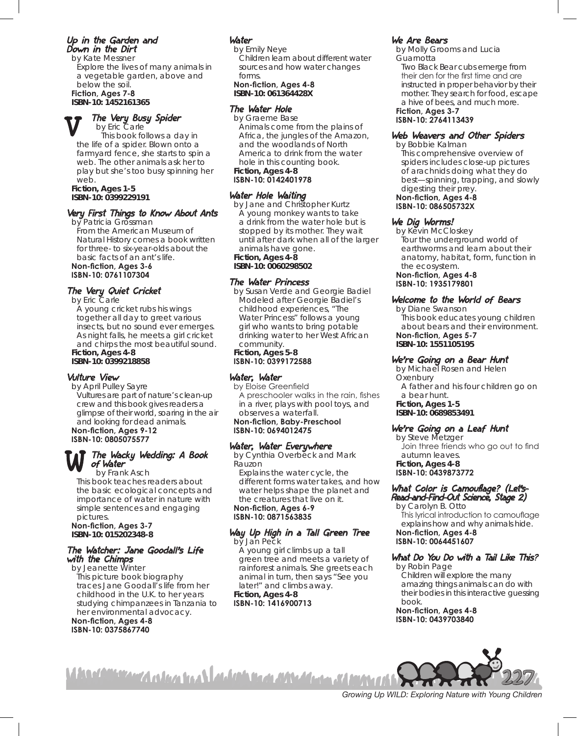## Up in the Garden and Down in the Dirt

by Kate Messner Explore the lives of many animals in a vegetable garden, above and below the soil. **Fiction, Ages 7-8 ISBN-10: 1452161365**



## The Very Busy Spider

by Eric Carle This book follows a day in the life of a spider. Blown onto a farmyard fence, she starts to spin a web. The other animals ask her to play but she's too busy spinning her web.

**Fiction, Ages 1-5 ISBN-10: 0399229191**

#### Very First Things to Know About Ants

by Patricia Grossman From the American Museum of Natural History comes a book written for three- to six-year-olds about the basic facts of an ant's life. **Non-fiction, Ages 3-6 ISBN-10: 0761107304**

## The Very Quiet Cricket

by Eric Carle A young cricket rubs his wings together all day to greet various insects, but no sound ever emerges.

As night falls, he meets a girl cricket and chirps the most beautiful sound. **Fiction, Ages 4-8**

## **ISBN-10: 0399218858**

#### Vulture View

by April Pulley Sayre Vultures are part of nature's clean-up crew and this book gives readers a glimpse of their world, soaring in the air and looking for dead animals. **Non-fiction, Ages 9-12**

**ISBN-10: 0805075577**

#### W The Wacky Wedding: A Book of Water

by Frank Asch This book teaches readers about the basic ecological concepts and importance of water in nature with simple sentences and engaging pictures.

**Non-fiction, Ages 3-7 ISBN-10: 015202348-8** 

#### The Watcher: Jane Goodall's Life with the Chimps

by Jeanette Winter This picture book biography traces Jane Goodall's life from her childhood in the U.K. to her years studying chimpanzees in Tanzania to her environmental advocacy.

**Non-fiction, Ages 4-8 ISBN-10: 0375867740**

## Water

by Emily Neye Children learn about different water sources and how water changes forms.

#### **Non-fiction, Ages 4-8 ISBN-10: 061364428X**

#### The Water Hole

by Graeme Base Animals come from the plains of Africa, the jungles of the Amazon, and the woodlands of North America to drink from the water hole in this counting book. **Fiction, Ages 4-8**

#### **ISBN-10: 0142401978**

#### Water Hole Waiting

by Jane and Christopher Kurtz A young monkey wants to take a drink from the water hole but is stopped by its mother. They wait until after dark when all of the larger animals have gone. **Fiction, Ages 4-8 ISBN-10: 0060298502**

#### The Water Princess

by Susan Verde and Georgie Badiel Modeled after Georgie Badiel's childhood experiences, "The Water Princess" follows a young girl who wants to bring potable drinking water to her West African community. **Fiction, Ages 5-8**

**ISBN-10: 0399172588**

#### Water, Water

by Eloise Greenfield A preschooler walks in the rain, fishes in a river, plays with pool toys, and observes a waterfall. **Non-fiction, Baby-Preschool**

**ISBN-10: 0694012475**

#### Water, Water Everywhere

by Cynthia Overbeck and Mark Rauzon

Explains the water cycle, the different forms water takes, and how water helps shape the planet and the creatures that live on it.

**Non-fiction, Ages 6-9 ISBN-10: 0871563835**

#### Way Up High in a Tall Green Tree by Jan Peck

A young girl climbs up a tall green tree and meets a variety of rainforest animals. She greets each animal in turn, then says "See you later!" and climbs away.

**Fiction, Ages 4-8**

**ISBN-10: 1416900713**

## We Are Bears

by Molly Grooms and Lucia Guarnotta Two Black Bear cubs emerge from their den for the first time and are instructed in proper behavior by their mother. They search for food, escape a hive of bees, and much more.

#### **Fiction, Ages 3-7 ISBN-10: 2764113439**

#### Web Weavers and Other Spiders

by Bobbie Kalman This comprehensive overview of spiders includes close-up pictures of arachnids doing what they do best—spinning, trapping, and slowly digesting their prey. **Non-fiction, Ages 4-8** 

#### **ISBN-10: 086505732X**

## We Dig Worms!

by Kevin McCloskey Tour the underground world of earthworms and learn about their anatomy, habitat, form, function in the ecosystem.

**Non-fiction, Ages 4-8 ISBN-10: 1935179801**

#### Welcome to the World of Bears

by Diane Swanson This book educates young children about bears and their environment. **Non-fiction, Ages 5-7**

**ISBN-10: 1551105195**

#### We're Going on a Bear Hunt

by Michael Rosen and Helen

**Oxenbury** A father and his four children go on a bear hunt.

**Fiction, Ages 1-5 ISBN-10: 0689853491** 

#### We're Going on a Leaf Hunt

by Steve Metzger Join three friends who go out to find autumn leaves. **Fiction, Ages 4-8 ISBN-10: 0439873772** 

#### What Color is Camouflage? (Let's-Read-and-Find-Out Science, Stage 2)

by Carolyn B. Otto This lyrical introduction to camouflage explains how and why animals hide. **Non-fiction, Ages 4-8 ISBN-10: 0064451607**

## What Do You Do with a Tail Like This?

by Robin Page Children will explore the many amazing things animals can do with their bodies in this interactive guessing book.

**Non-fiction, Ages 4-8 ISBN-10: 0439703840**

<u>Maalamaanaa ka ahaa laahaan maanaa ka maalama alamaa l</u> 227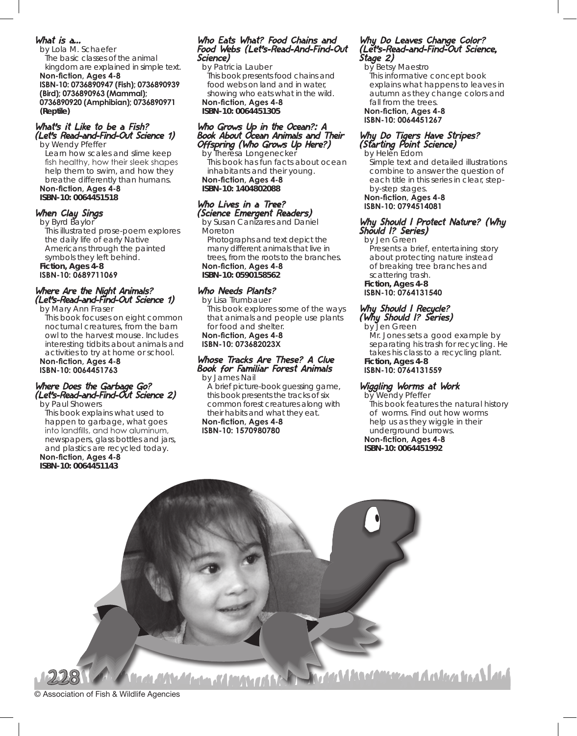What is a…

by Lola M. Schaefer The basic classes of the animal kingdom are explained in simple text.

**Non-fiction, Ages 4-8 ISBN-10: 0736890947 (Fish); 0736890939 (Bird); 0736890963 (Mammal); 0736890920 (Amphibian); 0736890971 (Reptile)**

#### What's it Like to be a Fish? (Let's Read-and-Find-Out Science 1) by Wendy Pfeffer

Learn how scales and slime keep fish healthy, how their sleek shapes help them to swim, and how they breathe differently than humans. **Non-fiction, Ages 4-8**

**ISBN-10: 0064451518**

## When Clay Sings

by Byrd Baylor This illustrated prose-poem explores the daily life of early Native Americans through the painted symbols they left behind. **Fiction, Ages 4-8 ISBN-10: 0689711069**

#### Where Are the Night Animals? (Let's-Read-and-Find-Out Science 1)

by Mary Ann Fraser

This book focuses on eight common nocturnal creatures, from the barn owl to the harvest mouse. Includes interesting tidbits about animals and activities to try at home or school.

#### **Non-fiction, Ages 4-8 ISBN-10: 0064451763**

## Where Does the Garbage Go? (Let's-Read-and-Find-Out Science 2)

by Paul Showers This book explains what used to happen to garbage, what goes into landfills, and how aluminum,

newspapers, glass bottles and jars, and plastics are recycled today. **Non-fiction, Ages 4-8 ISBN-10: 0064451143**

#### Who Eats What? Food Chains and Food Webs (Let's-Read-And-Find-Out Science)

by Patricia Lauber This book presents food chains and food webs on land and in water, showing who eats what in the wild. **Non-fiction, Ages 4-8**

## **ISBN-10: 0064451305**

#### Who Grows Up in the Ocean?: A Book About Ocean Animals and Their Offspring (Who Grows Up Here?)

by Theresa Longenecker This book has fun facts about ocean inhabitants and their young. **Non-fiction, Ages 4-8 ISBN-10: 1404802088**

## Who Lives in a Tree? (Science Emergent Readers)

by Susan Canizares and Daniel Moreton

Photographs and text depict the many different animals that live in trees, from the roots to the branches. **Non-fiction, Ages 4-8**

## **ISBN-10: 0590158562**

#### Who Needs Plants?

by Lisa Trumbauer This book explores some of the ways that animals and people use plants for food and shelter.

#### **Non-fiction, Ages 4-8 ISBN-10: 073682023X**

#### Whose Tracks Are These? A Clue Book for Familiar Forest Animals by James Nail

A brief picture-book guessing game, this book presents the tracks of six common forest creatures along with their habits and what they eat. **Non-fiction, Ages 4-8 ISBN-10: 1570980780**

#### Why Do Leaves Change Color? (Let's-Read-and-Find-Out Science, Stage 2)

by Betsy Maestro This informative concept book explains what happens to leaves in autumn as they change colors and fall from the trees.

#### **Non-fiction, Ages 4-8 ISBN-10: 0064451267**

#### Why Do Tigers Have Stripes? (Starting Point Science)

by Helen Edom Simple text and detailed illustrations combine to answer the question of each title in this series in clear, stepby-step stages.

#### **Non-fiction, Ages 4-8 ISBN-10: 0794514081**

#### Why Should I Protect Nature? (Why Should I? Series)

by Jen Green

Presents a brief, entertaining story about protecting nature instead of breaking tree branches and scattering trash. **Fiction, Ages 4-8 ISBN-10: 0764131540**

## Why Should I Recycle? (Why Should I? Series)

by Jen Green Mr. Jones sets a good example by separating his trash for recycling. He takes his class to a recycling plant.

#### **Fiction, Ages 4-8 ISBN-10: 0764131559**

## Wiggling Worms at Work

by Wendy Pfeffer

This book features the natural history of worms. Find out how worms help us as they wiggle in their underground burrows.

**Non-fiction, Ages 4-8 ISBN-10: 0064451992**

© Association of Fish & Wildlife Agencies

228

A Model Macdensman Anders to Aland <u>Anta XA Mitra Al</u>